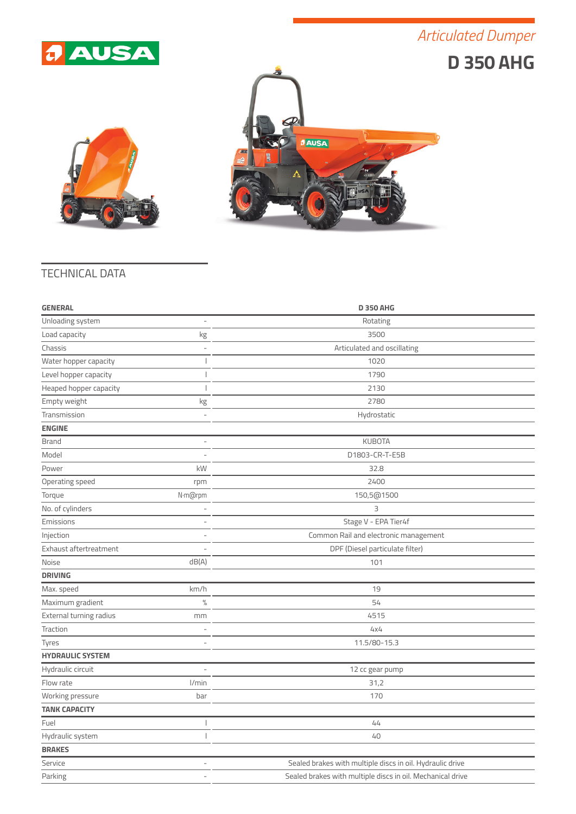## *Articulated Dumper*







## TECHNICAL DATA

| <b>GENERAL</b>          |                          | <b>D 350 AHG</b>                                           |
|-------------------------|--------------------------|------------------------------------------------------------|
| Unloading system        | $\overline{\phantom{a}}$ | Rotating                                                   |
| Load capacity           | kg                       | 3500                                                       |
| Chassis                 | $\overline{\phantom{a}}$ | Articulated and oscillating                                |
| Water hopper capacity   | J                        | 1020                                                       |
| Level hopper capacity   | I                        | 1790                                                       |
| Heaped hopper capacity  | I                        | 2130                                                       |
| Empty weight            | kg                       | 2780                                                       |
| Transmission            | $\overline{\phantom{a}}$ | Hydrostatic                                                |
| <b>ENGINE</b>           |                          |                                                            |
| <b>Brand</b>            | ÷,                       | <b>KUBOTA</b>                                              |
| Model                   |                          | D1803-CR-T-E5B                                             |
| Power                   | kW                       | 32.8                                                       |
| Operating speed         | rpm                      | 2400                                                       |
| Torque                  | N·m@rpm                  | 150,5@1500                                                 |
| No. of cylinders        | $\overline{a}$           | 3                                                          |
| Emissions               | $\overline{a}$           | Stage V - EPA Tier4f                                       |
| Injection               |                          | Common Rail and electronic management                      |
| Exhaust aftertreatment  |                          | DPF (Diesel particulate filter)                            |
| Noise                   | dB(A)                    | 101                                                        |
| <b>DRIVING</b>          |                          |                                                            |
| Max. speed              | km/h                     | 19                                                         |
| Maximum gradient        | $\%$                     | 54                                                         |
| External turning radius | mm                       | 4515                                                       |
| Traction                |                          | 4x4                                                        |
| Tyres                   |                          | 11.5/80-15.3                                               |
| <b>HYDRAULIC SYSTEM</b> |                          |                                                            |
| Hydraulic circuit       | L,                       | 12 cc gear pump                                            |
| Flow rate               | l/min                    | 31,2                                                       |
| Working pressure        | bar                      | 170                                                        |
| <b>TANK CAPACITY</b>    |                          |                                                            |
| Fuel                    | I                        | 44                                                         |
| Hydraulic system        | $\overline{1}$           | 40                                                         |
| <b>BRAKES</b>           |                          |                                                            |
| Service                 | $\overline{a}$           | Sealed brakes with multiple discs in oil. Hydraulic drive  |
| Parking                 | $\overline{\phantom{a}}$ | Sealed brakes with multiple discs in oil. Mechanical drive |